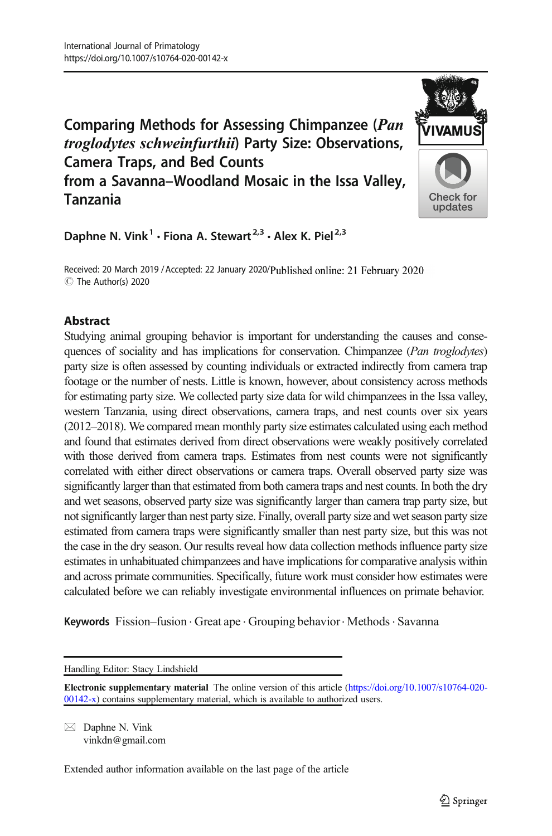# Comparing Methods for Assessing Chimpanzee (Pan troglodytes schweinfurthii) Party Size: Observations, Camera Traps, and Bed Counts from a Savanna–Woodland Mosaic in the Issa Valley, Tanzania



Daphne N. Vink<sup>1</sup> · Fiona A. Stewart<sup>2,3</sup> · Alex K. Piel<sup>2,3</sup>

Received: 20 March 2019 / Accepted: 22 January 2020/Published online: 21 February 2020 C The Author(s) 2020

# Abstract

Studying animal grouping behavior is important for understanding the causes and consequences of sociality and has implications for conservation. Chimpanzee (Pan troglodytes) party size is often assessed by counting individuals or extracted indirectly from camera trap footage or the number of nests. Little is known, however, about consistency across methods for estimating party size. We collected party size data for wild chimpanzees in the Issa valley, western Tanzania, using direct observations, camera traps, and nest counts over six years (2012–2018). We compared mean monthly party size estimates calculated using each method and found that estimates derived from direct observations were weakly positively correlated with those derived from camera traps. Estimates from nest counts were not significantly correlated with either direct observations or camera traps. Overall observed party size was significantly larger than that estimated from both camera traps and nest counts. In both the dry and wet seasons, observed party size was significantly larger than camera trap party size, but not significantly larger than nest party size. Finally, overall party size and wet season party size estimated from camera traps were significantly smaller than nest party size, but this was not the case in the dry season. Our results reveal how data collection methods influence party size estimates in unhabituated chimpanzees and have implications for comparative analysis within and across primate communities. Specifically, future work must consider how estimates were calculated before we can reliably investigate environmental influences on primate behavior.

Keywords Fission–fusion · Great ape · Grouping behavior · Methods · Savanna

Handling Editor: Stacy Lindshield

Electronic supplementary material The online version of this article [\(https://doi.org/10.1007/s10764-020-](http://creativecommons.org/licenses/by/4.0/) [00142-x\)](http://creativecommons.org/licenses/by/4.0/) contains supplementary material, which is available to authorized users.

 $\boxtimes$  Daphne N. Vink [vinkdn@gmail.com](mailto:vinkdn@gmail.com)

Extended author information available on the last page of the article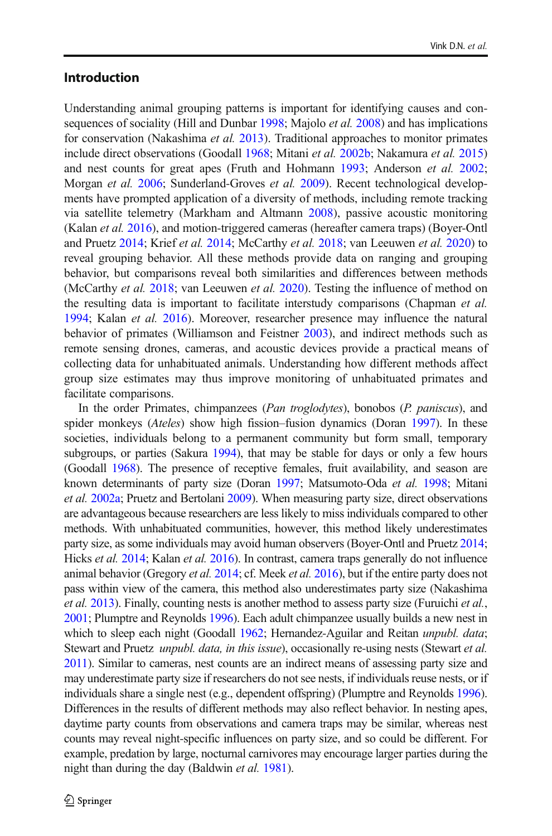### Introduction

Understanding animal grouping patterns is important for identifying causes and con-sequences of sociality (Hill and Dunbar [1998](#page-12-0); Majolo *et al.* [2008](#page-13-0)) and has implications for conservation (Nakashima et al. [2013](#page-13-0)). Traditional approaches to monitor primates include direct observations (Goodall [1968;](#page-12-0) Mitani et al. [2002b](#page-13-0); Nakamura et al. [2015](#page-13-0)) and nest counts for great apes (Fruth and Hohmann [1993;](#page-12-0) Anderson et al. [2002;](#page-12-0) Morgan et al. [2006](#page-13-0); Sunderland-Groves et al. [2009\)](#page-13-0). Recent technological developments have prompted application of a diversity of methods, including remote tracking via satellite telemetry (Markham and Altmann [2008](#page-13-0)), passive acoustic monitoring (Kalan et al. [2016\)](#page-12-0), and motion-triggered cameras (hereafter camera traps) (Boyer-Ontl and Pruetz [2014;](#page-12-0) Krief et al. [2014](#page-12-0); McCarthy et al. [2018](#page-13-0); van Leeuwen et al. [2020\)](#page-12-0) to reveal grouping behavior. All these methods provide data on ranging and grouping behavior, but comparisons reveal both similarities and differences between methods (McCarthy et al. [2018;](#page-13-0) van Leeuwen et al. [2020](#page-12-0)). Testing the influence of method on the resulting data is important to facilitate interstudy comparisons (Chapman *et al.*) [1994;](#page-12-0) Kalan et al. [2016](#page-12-0)). Moreover, researcher presence may influence the natural behavior of primates (Williamson and Feistner [2003](#page-14-0)), and indirect methods such as remote sensing drones, cameras, and acoustic devices provide a practical means of collecting data for unhabituated animals. Understanding how different methods affect group size estimates may thus improve monitoring of unhabituated primates and facilitate comparisons.

In the order Primates, chimpanzees (Pan troglodytes), bonobos (P. paniscus), and spider monkeys (*Ateles*) show high fission–fusion dynamics (Doran [1997\)](#page-12-0). In these societies, individuals belong to a permanent community but form small, temporary subgroups, or parties (Sakura [1994](#page-13-0)), that may be stable for days or only a few hours (Goodall [1968](#page-12-0)). The presence of receptive females, fruit availability, and season are known determinants of party size (Doran [1997;](#page-12-0) Matsumoto-Oda et al. [1998](#page-13-0); Mitani et al. [2002a;](#page-13-0) Pruetz and Bertolani [2009](#page-13-0)). When measuring party size, direct observations are advantageous because researchers are less likely to miss individuals compared to other methods. With unhabituated communities, however, this method likely underestimates party size, as some individuals may avoid human observers (Boyer-Ontl and Pruetz [2014;](#page-12-0) Hicks et al. [2014;](#page-12-0) Kalan et al. [2016](#page-12-0)). In contrast, camera traps generally do not influence animal behavior (Gregory *et al.* [2014;](#page-12-0) cf. Meek *et al.* [2016](#page-13-0)), but if the entire party does not pass within view of the camera, this method also underestimates party size (Nakashima et al. [2013](#page-13-0)). Finally, counting nests is another method to assess party size (Furuichi *et al.*, [2001](#page-12-0); Plumptre and Reynolds [1996\)](#page-13-0). Each adult chimpanzee usually builds a new nest in which to sleep each night (Goodall [1962;](#page-12-0) Hernandez-Aguilar and Reitan unpubl. data; Stewart and Pruetz *unpubl. data, in this issue*), occasionally re-using nests (Stewart *et al.* [2011\)](#page-13-0). Similar to cameras, nest counts are an indirect means of assessing party size and may underestimate party size if researchers do not see nests, if individuals reuse nests, or if individuals share a single nest (e.g., dependent offspring) (Plumptre and Reynolds [1996\)](#page-13-0). Differences in the results of different methods may also reflect behavior. In nesting apes, daytime party counts from observations and camera traps may be similar, whereas nest counts may reveal night-specific influences on party size, and so could be different. For example, predation by large, nocturnal carnivores may encourage larger parties during the night than during the day (Baldwin et al. [1981\)](#page-12-0).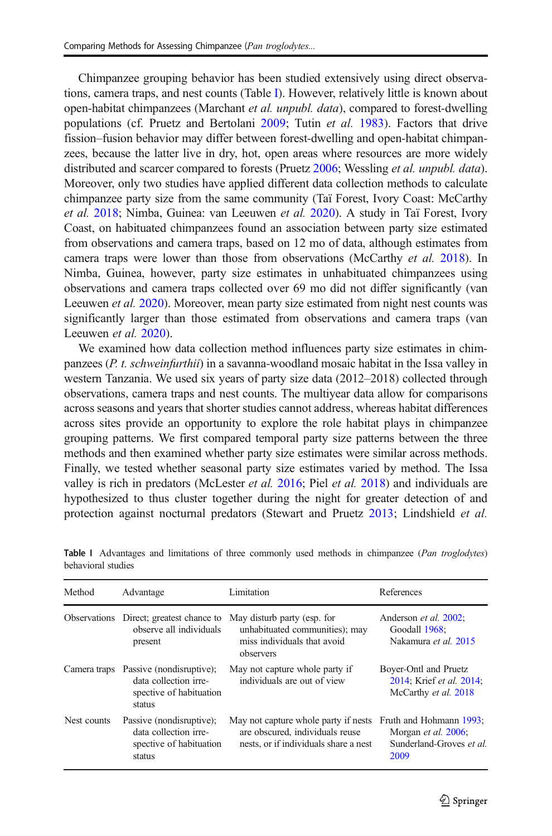Chimpanzee grouping behavior has been studied extensively using direct observations, camera traps, and nest counts (Table I). However, relatively little is known about open-habitat chimpanzees (Marchant et al. unpubl. data), compared to forest-dwelling populations (cf. Pruetz and Bertolani [2009;](#page-13-0) Tutin et al. [1983\)](#page-13-0). Factors that drive fission–fusion behavior may differ between forest-dwelling and open-habitat chimpanzees, because the latter live in dry, hot, open areas where resources are more widely distributed and scarcer compared to forests (Pruetz [2006](#page-13-0); Wessling *et al. unpubl. data*). Moreover, only two studies have applied different data collection methods to calculate chimpanzee party size from the same community (Taï Forest, Ivory Coast: McCarthy et al. [2018](#page-13-0); Nimba, Guinea: van Leeuwen et al. [2020\)](#page-12-0). A study in Taï Forest, Ivory Coast, on habituated chimpanzees found an association between party size estimated from observations and camera traps, based on 12 mo of data, although estimates from camera traps were lower than those from observations (McCarthy et al. [2018](#page-13-0)). In Nimba, Guinea, however, party size estimates in unhabituated chimpanzees using observations and camera traps collected over 69 mo did not differ significantly (van Leeuwen *et al.* [2020](#page-12-0)). Moreover, mean party size estimated from night nest counts was significantly larger than those estimated from observations and camera traps (van Leeuwen et al. [2020\)](#page-12-0).

We examined how data collection method influences party size estimates in chimpanzees (P. t. schweinfurthii) in a savanna-woodland mosaic habitat in the Issa valley in western Tanzania. We used six years of party size data (2012–2018) collected through observations, camera traps and nest counts. The multiyear data allow for comparisons across seasons and years that shorter studies cannot address, whereas habitat differences across sites provide an opportunity to explore the role habitat plays in chimpanzee grouping patterns. We first compared temporal party size patterns between the three methods and then examined whether party size estimates were similar across methods. Finally, we tested whether seasonal party size estimates varied by method. The Issa valley is rich in predators (McLester et al. [2016;](#page-13-0) Piel et al. [2018\)](#page-13-0) and individuals are hypothesized to thus cluster together during the night for greater detection of and protection against nocturnal predators (Stewart and Pruetz [2013;](#page-13-0) Lindshield et al.

| Method       | Advantage                                                                              | Limitation                                                                                                       | References                                                                         |
|--------------|----------------------------------------------------------------------------------------|------------------------------------------------------------------------------------------------------------------|------------------------------------------------------------------------------------|
|              | Observations Direct; greatest chance to<br>observe all individuals<br>present          | May disturb party (esp. for<br>unhabituated communities); may<br>miss individuals that avoid<br>observers        | Anderson et al. 2002;<br>Goodall 1968:<br>Nakamura et al. 2015                     |
| Camera traps | Passive (nondisruptive);<br>data collection irre-<br>spective of habituation<br>status | May not capture whole party if<br>individuals are out of view                                                    | Boyer-Ontl and Pruetz<br>2014; Krief et al. 2014;<br>McCarthy et al. 2018          |
| Nest counts  | Passive (nondisruptive);<br>data collection irre-<br>spective of habituation<br>status | May not capture whole party if nests<br>are obscured, individuals reuse<br>nests, or if individuals share a nest | Fruth and Hohmann 1993;<br>Morgan et al. 2006;<br>Sunderland-Groves et al.<br>2009 |

Table I Advantages and limitations of three commonly used methods in chimpanzee (Pan troglodytes) behavioral studies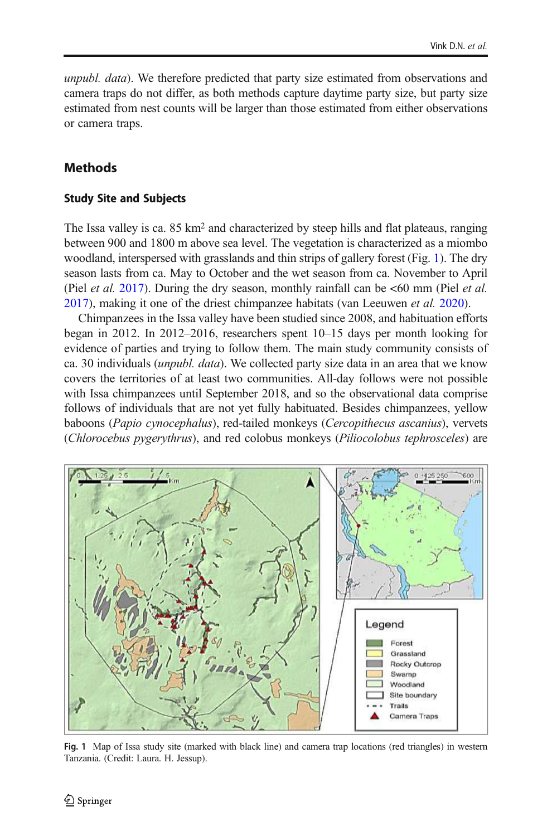<span id="page-3-0"></span>unpubl. data). We therefore predicted that party size estimated from observations and camera traps do not differ, as both methods capture daytime party size, but party size estimated from nest counts will be larger than those estimated from either observations or camera traps.

## **Methods**

### Study Site and Subjects

The Issa valley is ca. 85 km<sup>2</sup> and characterized by steep hills and flat plateaus, ranging between 900 and 1800 m above sea level. The vegetation is characterized as a miombo woodland, interspersed with grasslands and thin strips of gallery forest (Fig. 1). The dry season lasts from ca. May to October and the wet season from ca. November to April (Piel *et al.* [2017\)](#page-13-0). During the dry season, monthly rainfall can be  $\lt 60$  mm (Piel *et al.*) [2017\)](#page-13-0), making it one of the driest chimpanzee habitats (van Leeuwen et al. [2020\)](#page-12-0).

Chimpanzees in the Issa valley have been studied since 2008, and habituation efforts began in 2012. In 2012–2016, researchers spent 10–15 days per month looking for evidence of parties and trying to follow them. The main study community consists of ca. 30 individuals (unpubl. data). We collected party size data in an area that we know covers the territories of at least two communities. All-day follows were not possible with Issa chimpanzees until September 2018, and so the observational data comprise follows of individuals that are not yet fully habituated. Besides chimpanzees, yellow baboons (Papio cynocephalus), red-tailed monkeys (Cercopithecus ascanius), vervets (Chlorocebus pygerythrus), and red colobus monkeys (Piliocolobus tephrosceles) are



Fig. 1 Map of Issa study site (marked with black line) and camera trap locations (red triangles) in western Tanzania. (Credit: Laura. H. Jessup).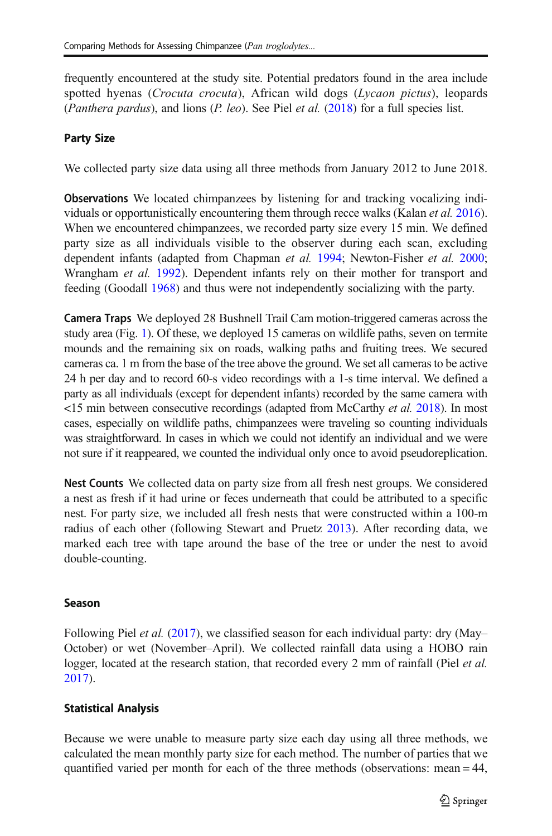frequently encountered at the study site. Potential predators found in the area include spotted hyenas (*Crocuta crocuta*), African wild dogs (*Lycaon pictus*), leopards (*Panthera pardus*), and lions (*P. leo*). See Piel *et al.* [\(2018\)](#page-13-0) for a full species list.

# Party Size

We collected party size data using all three methods from January 2012 to June 2018.

Observations We located chimpanzees by listening for and tracking vocalizing individuals or opportunistically encountering them through recce walks (Kalan et al. [2016\)](#page-12-0). When we encountered chimpanzees, we recorded party size every 15 min. We defined party size as all individuals visible to the observer during each scan, excluding dependent infants (adapted from Chapman et al. [1994](#page-12-0); Newton-Fisher et al. [2000;](#page-13-0) Wrangham et al. [1992](#page-14-0)). Dependent infants rely on their mother for transport and feeding (Goodall [1968\)](#page-12-0) and thus were not independently socializing with the party.

Camera Traps We deployed 28 Bushnell Trail Cam motion-triggered cameras across the study area (Fig. [1](#page-3-0)). Of these, we deployed 15 cameras on wildlife paths, seven on termite mounds and the remaining six on roads, walking paths and fruiting trees. We secured cameras ca. 1 m from the base of the tree above the ground. We set all cameras to be active 24 h per day and to record 60-s video recordings with a 1-s time interval. We defined a party as all individuals (except for dependent infants) recorded by the same camera with <15 min between consecutive recordings (adapted from McCarthy et al. [2018\)](#page-13-0). In most cases, especially on wildlife paths, chimpanzees were traveling so counting individuals was straightforward. In cases in which we could not identify an individual and we were not sure if it reappeared, we counted the individual only once to avoid pseudoreplication.

Nest Counts We collected data on party size from all fresh nest groups. We considered a nest as fresh if it had urine or feces underneath that could be attributed to a specific nest. For party size, we included all fresh nests that were constructed within a 100-m radius of each other (following Stewart and Pruetz [2013\)](#page-13-0). After recording data, we marked each tree with tape around the base of the tree or under the nest to avoid double-counting.

# Season

Following Piel et al. [\(2017](#page-13-0)), we classified season for each individual party: dry (May– October) or wet (November–April). We collected rainfall data using a HOBO rain logger, located at the research station, that recorded every 2 mm of rainfall (Piel *et al.*) [2017\)](#page-13-0).

# Statistical Analysis

Because we were unable to measure party size each day using all three methods, we calculated the mean monthly party size for each method. The number of parties that we quantified varied per month for each of the three methods (observations: mean = 44,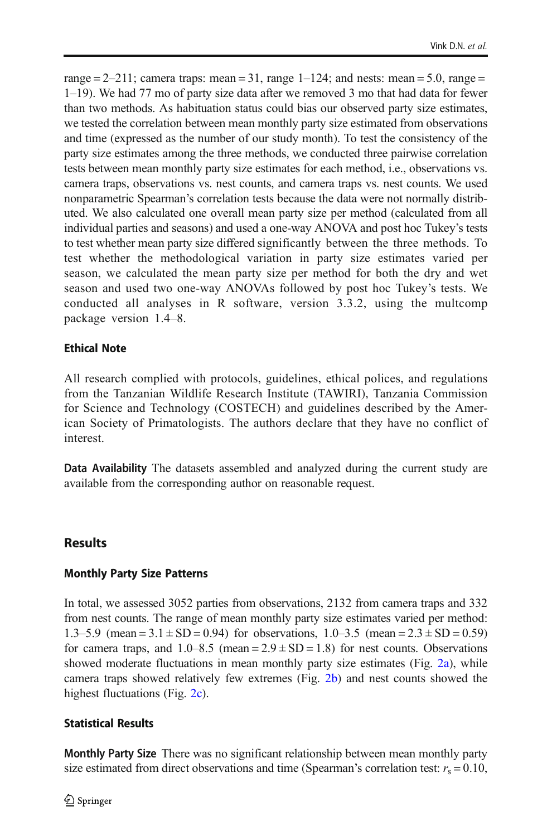range  $= 2-211$ ; camera traps: mean  $= 31$ , range  $1-124$ ; and nests: mean  $= 5.0$ , range  $=$ 1–19). We had 77 mo of party size data after we removed 3 mo that had data for fewer than two methods. As habituation status could bias our observed party size estimates, we tested the correlation between mean monthly party size estimated from observations and time (expressed as the number of our study month). To test the consistency of the party size estimates among the three methods, we conducted three pairwise correlation tests between mean monthly party size estimates for each method, i.e., observations vs. camera traps, observations vs. nest counts, and camera traps vs. nest counts. We used nonparametric Spearman's correlation tests because the data were not normally distributed. We also calculated one overall mean party size per method (calculated from all individual parties and seasons) and used a one-way ANOVA and post hoc Tukey's tests to test whether mean party size differed significantly between the three methods. To test whether the methodological variation in party size estimates varied per season, we calculated the mean party size per method for both the dry and wet season and used two one-way ANOVAs followed by post hoc Tukey's tests. We conducted all analyses in R software, version 3.3.2, using the multcomp package version 1.4–8.

### Ethical Note

All research complied with protocols, guidelines, ethical polices, and regulations from the Tanzanian Wildlife Research Institute (TAWIRI), Tanzania Commission for Science and Technology (COSTECH) and guidelines described by the American Society of Primatologists. The authors declare that they have no conflict of interest.

Data Availability The datasets assembled and analyzed during the current study are available from the corresponding author on reasonable request.

### Results

#### Monthly Party Size Patterns

In total, we assessed 3052 parties from observations, 2132 from camera traps and 332 from nest counts. The range of mean monthly party size estimates varied per method: 1.3–5.9 (mean =  $3.1 \pm SD = 0.94$ ) for observations, 1.0–3.5 (mean =  $2.3 \pm SD = 0.59$ ) for camera traps, and  $1.0-8.5$  (mean  $= 2.9 \pm SD = 1.8$ ) for nest counts. Observations showed moderate fluctuations in mean monthly party size estimates (Fig. [2a\)](#page-6-0), while camera traps showed relatively few extremes (Fig. [2b\)](#page-6-0) and nest counts showed the highest fluctuations (Fig. [2c\)](#page-6-0).

#### Statistical Results

Monthly Party Size There was no significant relationship between mean monthly party size estimated from direct observations and time (Spearman's correlation test:  $r_s = 0.10$ ,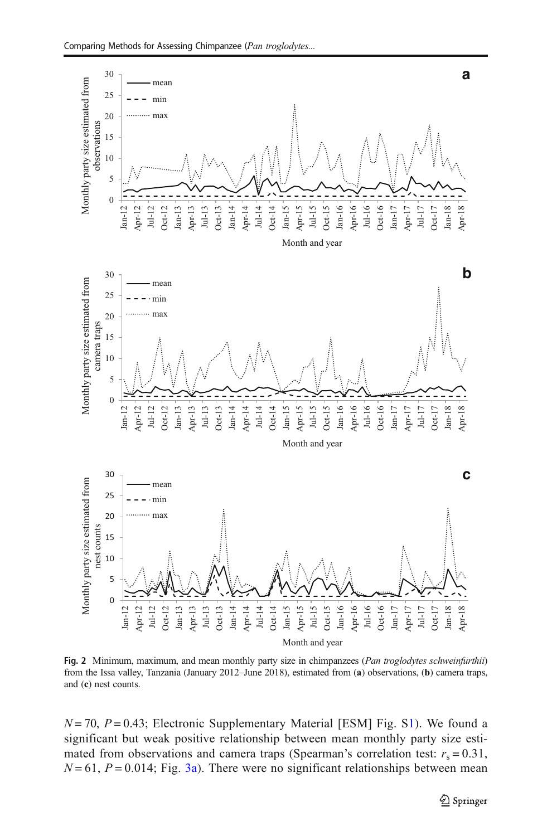<span id="page-6-0"></span>

Fig. 2 Minimum, maximum, and mean monthly party size in chimpanzees (Pan troglodytes schweinfurthii) from the Issa valley, Tanzania (January 2012–June 2018), estimated from (a) observations, (b) camera traps, and (c) nest counts.

 $N = 70$ ,  $P = 0.43$ ; Electronic Supplementary Material [ESM] Fig. S1). We found a significant but weak positive relationship between mean monthly party size estimated from observations and camera traps (Spearman's correlation test:  $r_s = 0.31$ ,  $N = 61$ ,  $P = 0.014$ ; Fig. [3a](#page-7-0)). There were no significant relationships between mean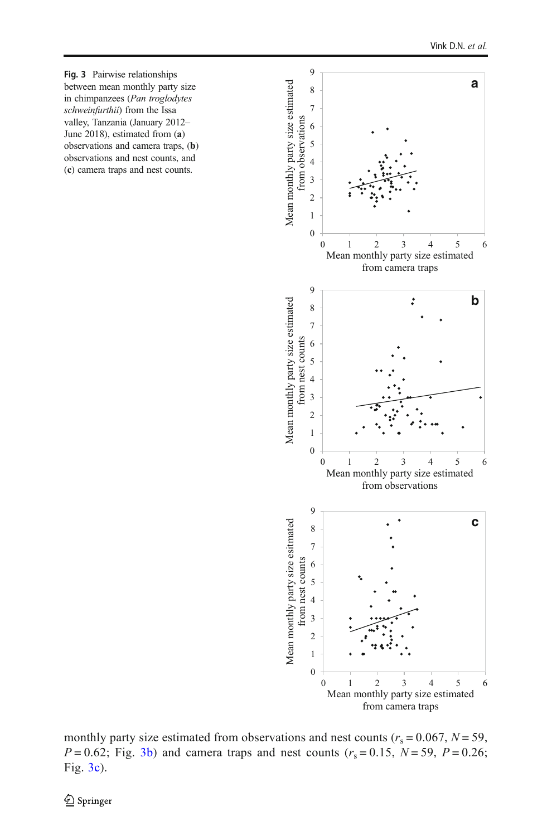<span id="page-7-0"></span>Fig. 3 Pairwise relationships between mean monthly party size in chimpanzees (Pan troglodytes schweinfurthii) from the Issa valley, Tanzania (January 2012– June 2018), estimated from (a) observations and camera traps, (b) observations and nest counts, and (c) camera traps and nest counts.



monthly party size estimated from observations and nest counts ( $r_s = 0.067$ ,  $N = 59$ ,  $P = 0.62$ ; Fig. 3b) and camera traps and nest counts ( $r_s = 0.15$ ,  $N = 59$ ,  $P = 0.26$ ; Fig. 3c).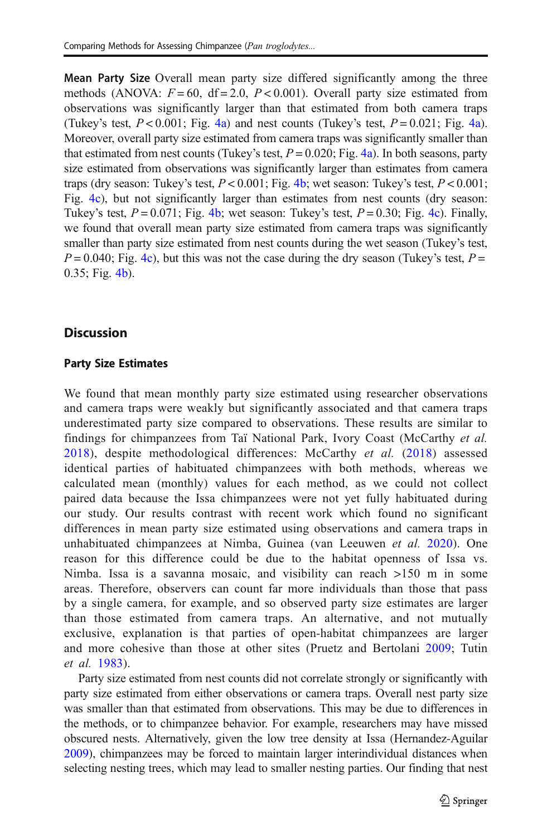Mean Party Size Overall mean party size differed significantly among the three methods (ANOVA:  $F = 60$ , df = 2.0,  $P < 0.001$ ). Overall party size estimated from observations was significantly larger than that estimated from both camera traps (Tukey's test,  $P < 0.001$ ; Fig. [4a](#page-9-0)) and nest counts (Tukey's test,  $P = 0.021$ ; Fig. [4a\)](#page-9-0). Moreover, overall party size estimated from camera traps was significantly smaller than that estimated from nest counts (Tukey's test,  $P = 0.020$ ; Fig. [4a\)](#page-9-0). In both seasons, party size estimated from observations was significantly larger than estimates from camera traps (dry season: Tukey's test,  $P < 0.001$ ; Fig. [4b;](#page-9-0) wet season: Tukey's test,  $P < 0.001$ ; Fig. [4c](#page-9-0)), but not significantly larger than estimates from nest counts (dry season: Tukey's test,  $P = 0.071$ ; Fig. [4b;](#page-9-0) wet season: Tukey's test,  $P = 0.30$ ; Fig. [4c](#page-9-0)). Finally, we found that overall mean party size estimated from camera traps was significantly smaller than party size estimated from nest counts during the wet season (Tukey's test,  $P = 0.040$ ; Fig. [4c](#page-9-0)), but this was not the case during the dry season (Tukey's test,  $P =$ 0.35; Fig. [4b\)](#page-9-0).

### **Discussion**

### Party Size Estimates

We found that mean monthly party size estimated using researcher observations and camera traps were weakly but significantly associated and that camera traps underestimated party size compared to observations. These results are similar to findings for chimpanzees from Taï National Park, Ivory Coast (McCarthy et al. [2018\)](#page-13-0), despite methodological differences: McCarthy *et al.* ([2018](#page-13-0)) assessed identical parties of habituated chimpanzees with both methods, whereas we calculated mean (monthly) values for each method, as we could not collect paired data because the Issa chimpanzees were not yet fully habituated during our study. Our results contrast with recent work which found no significant differences in mean party size estimated using observations and camera traps in unhabituated chimpanzees at Nimba, Guinea (van Leeuwen et al. [2020\)](#page-12-0). One reason for this difference could be due to the habitat openness of Issa vs. Nimba. Issa is a savanna mosaic, and visibility can reach >150 m in some areas. Therefore, observers can count far more individuals than those that pass by a single camera, for example, and so observed party size estimates are larger than those estimated from camera traps. An alternative, and not mutually exclusive, explanation is that parties of open-habitat chimpanzees are larger and more cohesive than those at other sites (Pruetz and Bertolani [2009](#page-13-0); Tutin et al. [1983](#page-13-0)).

Party size estimated from nest counts did not correlate strongly or significantly with party size estimated from either observations or camera traps. Overall nest party size was smaller than that estimated from observations. This may be due to differences in the methods, or to chimpanzee behavior. For example, researchers may have missed obscured nests. Alternatively, given the low tree density at Issa (Hernandez-Aguilar [2009\)](#page-12-0), chimpanzees may be forced to maintain larger interindividual distances when selecting nesting trees, which may lead to smaller nesting parties. Our finding that nest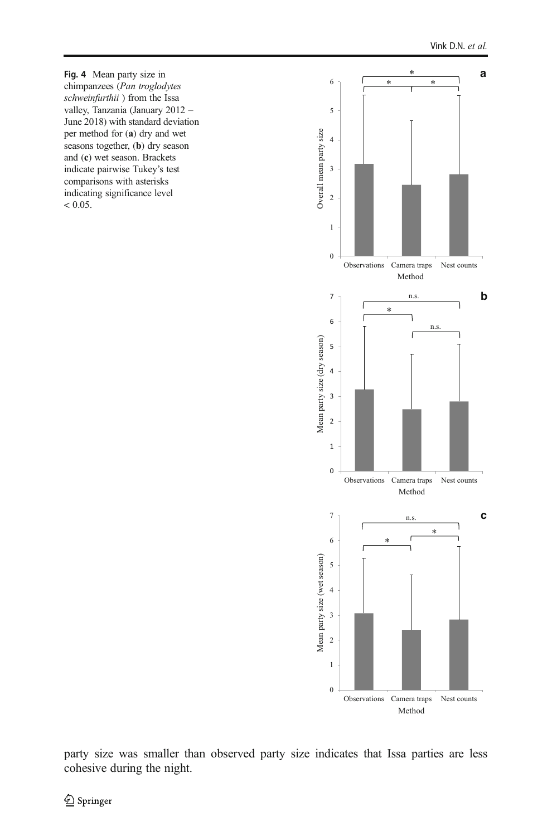<span id="page-9-0"></span>Fig. 4 Mean party size in chimpanzees (Pan troglodytes schweinfurthii) from the Issa valley, Tanzania (January 2012 – June 2018) with standard deviation per method for (a) dry and wet seasons together, (**b**) dry season and (c) wet season. Brackets indicate pairwise Tukey's test comparisons with asterisks indicating significance level  $< 0.05$ .



party size was smaller than observed party size indicates that Issa parties are less cohesive during the night.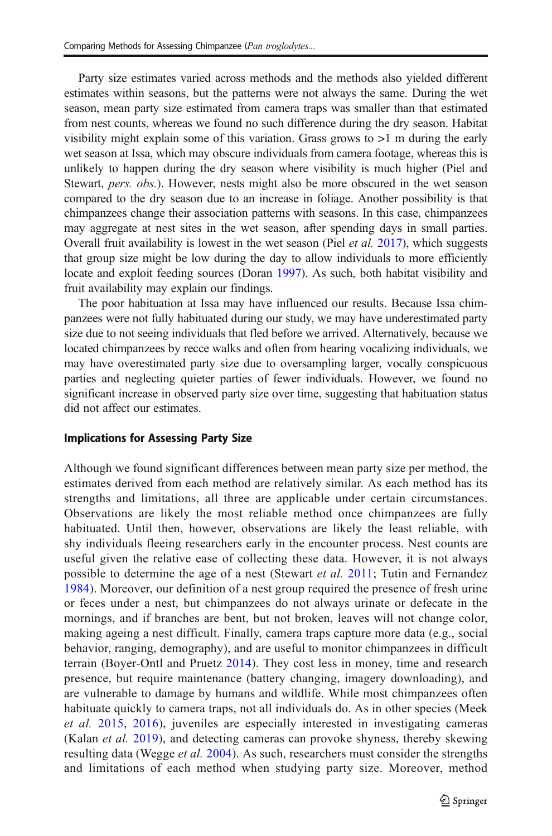Party size estimates varied across methods and the methods also yielded different estimates within seasons, but the patterns were not always the same. During the wet season, mean party size estimated from camera traps was smaller than that estimated from nest counts, whereas we found no such difference during the dry season. Habitat visibility might explain some of this variation. Grass grows to  $>1$  m during the early wet season at Issa, which may obscure individuals from camera footage, whereas this is unlikely to happen during the dry season where visibility is much higher (Piel and Stewart, pers. obs.). However, nests might also be more obscured in the wet season compared to the dry season due to an increase in foliage. Another possibility is that chimpanzees change their association patterns with seasons. In this case, chimpanzees may aggregate at nest sites in the wet season, after spending days in small parties. Overall fruit availability is lowest in the wet season (Piel et al. [2017](#page-13-0)), which suggests that group size might be low during the day to allow individuals to more efficiently locate and exploit feeding sources (Doran [1997\)](#page-12-0). As such, both habitat visibility and fruit availability may explain our findings.

The poor habituation at Issa may have influenced our results. Because Issa chimpanzees were not fully habituated during our study, we may have underestimated party size due to not seeing individuals that fled before we arrived. Alternatively, because we located chimpanzees by recce walks and often from hearing vocalizing individuals, we may have overestimated party size due to oversampling larger, vocally conspicuous parties and neglecting quieter parties of fewer individuals. However, we found no significant increase in observed party size over time, suggesting that habituation status did not affect our estimates.

### Implications for Assessing Party Size

Although we found significant differences between mean party size per method, the estimates derived from each method are relatively similar. As each method has its strengths and limitations, all three are applicable under certain circumstances. Observations are likely the most reliable method once chimpanzees are fully habituated. Until then, however, observations are likely the least reliable, with shy individuals fleeing researchers early in the encounter process. Nest counts are useful given the relative ease of collecting these data. However, it is not always possible to determine the age of a nest (Stewart et al. [2011](#page-13-0); Tutin and Fernandez [1984](#page-13-0)). Moreover, our definition of a nest group required the presence of fresh urine or feces under a nest, but chimpanzees do not always urinate or defecate in the mornings, and if branches are bent, but not broken, leaves will not change color, making ageing a nest difficult. Finally, camera traps capture more data (e.g., social behavior, ranging, demography), and are useful to monitor chimpanzees in difficult terrain (Boyer-Ontl and Pruetz [2014](#page-12-0)). They cost less in money, time and research presence, but require maintenance (battery changing, imagery downloading), and are vulnerable to damage by humans and wildlife. While most chimpanzees often habituate quickly to camera traps, not all individuals do. As in other species (Meek et al. [2015,](#page-13-0) [2016](#page-13-0)), juveniles are especially interested in investigating cameras (Kalan *et al.* [2019](#page-12-0)), and detecting cameras can provoke shyness, thereby skewing resulting data (Wegge et al. [2004\)](#page-14-0). As such, researchers must consider the strengths and limitations of each method when studying party size. Moreover, method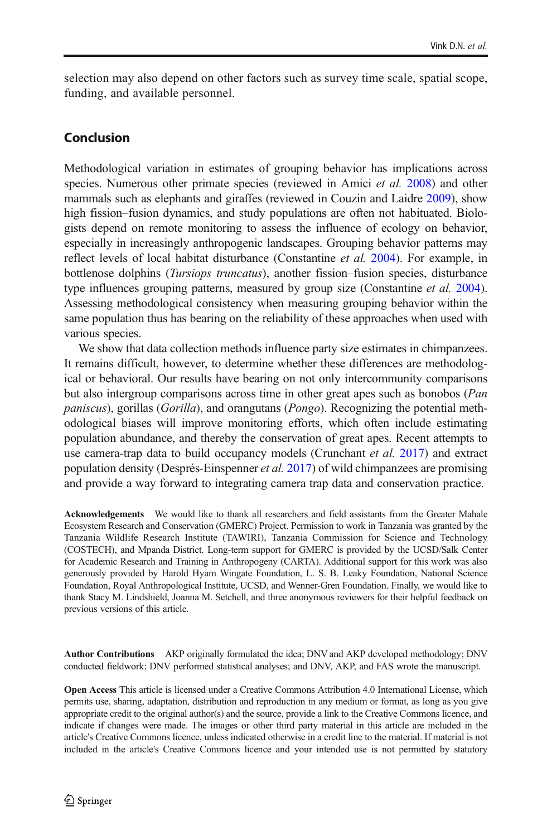selection may also depend on other factors such as survey time scale, spatial scope, funding, and available personnel.

# Conclusion

Methodological variation in estimates of grouping behavior has implications across species. Numerous other primate species (reviewed in Amici *et al.* [2008\)](#page-12-0) and other mammals such as elephants and giraffes (reviewed in Couzin and Laidre [2009](#page-12-0)), show high fission–fusion dynamics, and study populations are often not habituated. Biologists depend on remote monitoring to assess the influence of ecology on behavior, especially in increasingly anthropogenic landscapes. Grouping behavior patterns may reflect levels of local habitat disturbance (Constantine et al. [2004](#page-12-0)). For example, in bottlenose dolphins (Tursiops truncatus), another fission–fusion species, disturbance type influences grouping patterns, measured by group size (Constantine *et al.* [2004\)](#page-12-0). Assessing methodological consistency when measuring grouping behavior within the same population thus has bearing on the reliability of these approaches when used with various species.

We show that data collection methods influence party size estimates in chimpanzees. It remains difficult, however, to determine whether these differences are methodological or behavioral. Our results have bearing on not only intercommunity comparisons but also intergroup comparisons across time in other great apes such as bonobos (Pan paniscus), gorillas (Gorilla), and orangutans (Pongo). Recognizing the potential methodological biases will improve monitoring efforts, which often include estimating population abundance, and thereby the conservation of great apes. Recent attempts to use camera-trap data to build occupancy models (Crunchant *et al.* [2017\)](#page-12-0) and extract population density (Després-Einspenner et al. [2017](#page-12-0)) of wild chimpanzees are promising and provide a way forward to integrating camera trap data and conservation practice.

Acknowledgements We would like to thank all researchers and field assistants from the Greater Mahale Ecosystem Research and Conservation (GMERC) Project. Permission to work in Tanzania was granted by the Tanzania Wildlife Research Institute (TAWIRI), Tanzania Commission for Science and Technology (COSTECH), and Mpanda District. Long-term support for GMERC is provided by the UCSD/Salk Center for Academic Research and Training in Anthropogeny (CARTA). Additional support for this work was also generously provided by Harold Hyam Wingate Foundation, L. S. B. Leaky Foundation, National Science Foundation, Royal Anthropological Institute, UCSD, and Wenner-Gren Foundation. Finally, we would like to thank Stacy M. Lindshield, Joanna M. Setchell, and three anonymous reviewers for their helpful feedback on previous versions of this article.

Author Contributions AKP originally formulated the idea; DNV and AKP developed methodology; DNV conducted fieldwork; DNV performed statistical analyses; and DNV, AKP, and FAS wrote the manuscript.

Open Access This article is licensed under a Creative Commons Attribution 4.0 International License, which permits use, sharing, adaptation, distribution and reproduction in any medium or format, as long as you give appropriate credit to the original author(s) and the source, provide a link to the Creative Commons licence, and indicate if changes were made. The images or other third party material in this article are included in the article's Creative Commons licence, unless indicated otherwise in a credit line to the material. If material is not included in the article's Creative Commons licence and your intended use is not permitted by statutory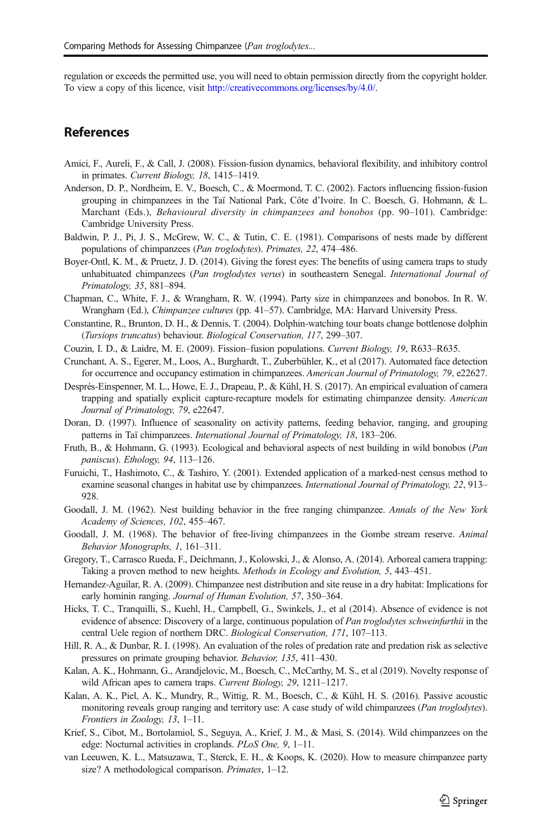<span id="page-12-0"></span>regulation or exceeds the permitted use, you will need to obtain permission directly from the copyright holder. To view a copy of this licence, visit [http://creativecommons.org/licenses/by/4.0/.](http://creativecommons.org/licenses/by/4.0/)

### References

- Amici, F., Aureli, F., & Call, J. (2008). Fission-fusion dynamics, behavioral flexibility, and inhibitory control in primates. Current Biology, 18, 1415–1419.
- Anderson, D. P., Nordheim, E. V., Boesch, C., & Moermond, T. C. (2002). Factors influencing fission-fusion grouping in chimpanzees in the Taï National Park, Côte d'Ivoire. In C. Boesch, G. Hohmann, & L. Marchant (Eds.), Behavioural diversity in chimpanzees and bonobos (pp. 90–101). Cambridge: Cambridge University Press.
- Baldwin, P. J., Pi, J. S., McGrew, W. C., & Tutin, C. E. (1981). Comparisons of nests made by different populations of chimpanzees (Pan troglodytes). Primates, 22, 474–486.
- Boyer-Ontl, K. M., & Pruetz, J. D. (2014). Giving the forest eyes: The benefits of using camera traps to study unhabituated chimpanzees (Pan troglodytes verus) in southeastern Senegal. International Journal of Primatology, 35, 881–894.
- Chapman, C., White, F. J., & Wrangham, R. W. (1994). Party size in chimpanzees and bonobos. In R. W. Wrangham (Ed.), Chimpanzee cultures (pp. 41–57). Cambridge, MA: Harvard University Press.
- Constantine, R., Brunton, D. H., & Dennis, T. (2004). Dolphin-watching tour boats change bottlenose dolphin (Tursiops truncatus) behaviour. Biological Conservation, 117, 299–307.
- Couzin, I. D., & Laidre, M. E. (2009). Fission–fusion populations. Current Biology, 19, R633–R635.
- Crunchant, A. S., Egerer, M., Loos, A., Burghardt, T., Zuberbühler, K., et al (2017). Automated face detection for occurrence and occupancy estimation in chimpanzees. American Journal of Primatology, 79, e22627.
- Després-Einspenner, M. L., Howe, E. J., Drapeau, P., & Kühl, H. S. (2017). An empirical evaluation of camera trapping and spatially explicit capture-recapture models for estimating chimpanzee density. American Journal of Primatology, 79, e22647.
- Doran, D. (1997). Influence of seasonality on activity patterns, feeding behavior, ranging, and grouping patterns in Taï chimpanzees. International Journal of Primatology, 18, 183–206.
- Fruth, B., & Hohmann, G. (1993). Ecological and behavioral aspects of nest building in wild bonobos (Pan paniscus). Ethology, 94, 113–126.
- Furuichi, T., Hashimoto, C., & Tashiro, Y. (2001). Extended application of a marked-nest census method to examine seasonal changes in habitat use by chimpanzees. *International Journal of Primatology*, 22, 913– 928.
- Goodall, J. M. (1962). Nest building behavior in the free ranging chimpanzee. Annals of the New York Academy of Sciences, 102, 455–467.
- Goodall, J. M. (1968). The behavior of free-living chimpanzees in the Gombe stream reserve. Animal Behavior Monographs, 1, 161–311.
- Gregory, T., Carrasco Rueda, F., Deichmann, J., Kolowski, J., & Alonso, A. (2014). Arboreal camera trapping: Taking a proven method to new heights. Methods in Ecology and Evolution, 5, 443–451.
- Hernandez-Aguilar, R. A. (2009). Chimpanzee nest distribution and site reuse in a dry habitat: Implications for early hominin ranging. Journal of Human Evolution, 57, 350–364.
- Hicks, T. C., Tranquilli, S., Kuehl, H., Campbell, G., Swinkels, J., et al (2014). Absence of evidence is not evidence of absence: Discovery of a large, continuous population of Pan troglodytes schweinfurthii in the central Uele region of northern DRC. Biological Conservation, 171, 107–113.
- Hill, R. A., & Dunbar, R. I. (1998). An evaluation of the roles of predation rate and predation risk as selective pressures on primate grouping behavior. Behavior, 135, 411–430.
- Kalan, A. K., Hohmann, G., Arandjelovic, M., Boesch, C., McCarthy, M. S., et al (2019). Novelty response of wild African apes to camera traps. Current Biology, 29, 1211–1217.
- Kalan, A. K., Piel, A. K., Mundry, R., Wittig, R. M., Boesch, C., & Kühl, H. S. (2016). Passive acoustic monitoring reveals group ranging and territory use: A case study of wild chimpanzees (Pan troglodytes). Frontiers in Zoology, 13, 1–11.
- Krief, S., Cibot, M., Bortolamiol, S., Seguya, A., Krief, J. M., & Masi, S. (2014). Wild chimpanzees on the edge: Nocturnal activities in croplands. PLoS One, 9, 1–11.
- van Leeuwen, K. L., Matsuzawa, T., Sterck, E. H., & Koops, K. (2020). How to measure chimpanzee party size? A methodological comparison. Primates, 1–12.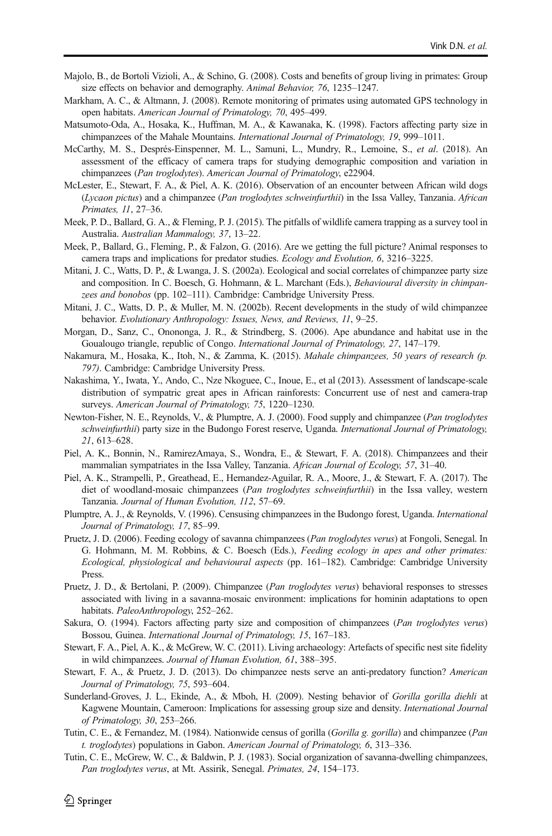- <span id="page-13-0"></span>Majolo, B., de Bortoli Vizioli, A., & Schino, G. (2008). Costs and benefits of group living in primates: Group size effects on behavior and demography. Animal Behavior, 76, 1235–1247.
- Markham, A. C., & Altmann, J. (2008). Remote monitoring of primates using automated GPS technology in open habitats. American Journal of Primatology, 70, 495–499.
- Matsumoto-Oda, A., Hosaka, K., Huffman, M. A., & Kawanaka, K. (1998). Factors affecting party size in chimpanzees of the Mahale Mountains. International Journal of Primatology, 19, 999–1011.
- McCarthy, M. S., Després-Einspenner, M. L., Samuni, L., Mundry, R., Lemoine, S., et al. (2018). An assessment of the efficacy of camera traps for studying demographic composition and variation in chimpanzees (Pan troglodytes). American Journal of Primatology, e22904.
- McLester, E., Stewart, F. A., & Piel, A. K. (2016). Observation of an encounter between African wild dogs (Lycaon pictus) and a chimpanzee (Pan troglodytes schweinfurthii) in the Issa Valley, Tanzania. African Primates, 11, 27–36.
- Meek, P. D., Ballard, G. A., & Fleming, P. J. (2015). The pitfalls of wildlife camera trapping as a survey tool in Australia. Australian Mammalogy, 37, 13–22.
- Meek, P., Ballard, G., Fleming, P., & Falzon, G. (2016). Are we getting the full picture? Animal responses to camera traps and implications for predator studies. Ecology and Evolution, 6, 3216–3225.
- Mitani, J. C., Watts, D. P., & Lwanga, J. S. (2002a). Ecological and social correlates of chimpanzee party size and composition. In C. Boesch, G. Hohmann, & L. Marchant (Eds.), Behavioural diversity in chimpanzees and bonobos (pp. 102–111). Cambridge: Cambridge University Press.
- Mitani, J. C., Watts, D. P., & Muller, M. N. (2002b). Recent developments in the study of wild chimpanzee behavior. Evolutionary Anthropology: Issues, News, and Reviews, 11, 9–25.
- Morgan, D., Sanz, C., Onononga, J. R., & Strindberg, S. (2006). Ape abundance and habitat use in the Goualougo triangle, republic of Congo. International Journal of Primatology, 27, 147–179.
- Nakamura, M., Hosaka, K., Itoh, N., & Zamma, K. (2015). Mahale chimpanzees, 50 years of research (p. 797). Cambridge: Cambridge University Press.
- Nakashima, Y., Iwata, Y., Ando, C., Nze Nkoguee, C., Inoue, E., et al (2013). Assessment of landscape-scale distribution of sympatric great apes in African rainforests: Concurrent use of nest and camera-trap surveys. American Journal of Primatology, 75, 1220–1230.
- Newton-Fisher, N. E., Reynolds, V., & Plumptre, A. J. (2000). Food supply and chimpanzee (Pan troglodytes schweinfurthii) party size in the Budongo Forest reserve, Uganda. International Journal of Primatology, 21, 613–628.
- Piel, A. K., Bonnin, N., RamirezAmaya, S., Wondra, E., & Stewart, F. A. (2018). Chimpanzees and their mammalian sympatriates in the Issa Valley, Tanzania. African Journal of Ecology, 57, 31–40.
- Piel, A. K., Strampelli, P., Greathead, E., Hernandez-Aguilar, R. A., Moore, J., & Stewart, F. A. (2017). The diet of woodland-mosaic chimpanzees (*Pan troglodytes schweinfurthii*) in the Issa valley, western Tanzania. Journal of Human Evolution, 112, 57–69.
- Plumptre, A. J., & Reynolds, V. (1996). Censusing chimpanzees in the Budongo forest, Uganda. International Journal of Primatology, 17, 85–99.
- Pruetz, J. D. (2006). Feeding ecology of savanna chimpanzees (Pan troglodytes verus) at Fongoli, Senegal. In G. Hohmann, M. M. Robbins, & C. Boesch (Eds.), Feeding ecology in apes and other primates: Ecological, physiological and behavioural aspects (pp. 161–182). Cambridge: Cambridge University Press.
- Pruetz, J. D., & Bertolani, P. (2009). Chimpanzee (Pan troglodytes verus) behavioral responses to stresses associated with living in a savanna-mosaic environment: implications for hominin adaptations to open habitats. PaleoAnthropology, 252-262.
- Sakura, O. (1994). Factors affecting party size and composition of chimpanzees (Pan troglodytes verus) Bossou, Guinea. International Journal of Primatology, 15, 167–183.
- Stewart, F. A., Piel, A. K., & McGrew, W. C. (2011). Living archaeology: Artefacts of specific nest site fidelity in wild chimpanzees. Journal of Human Evolution, 61, 388–395.
- Stewart, F. A., & Pruetz, J. D. (2013). Do chimpanzee nests serve an anti-predatory function? American Journal of Primatology, 75, 593–604.
- Sunderland-Groves, J. L., Ekinde, A., & Mboh, H. (2009). Nesting behavior of Gorilla gorilla diehli at Kagwene Mountain, Cameroon: Implications for assessing group size and density. International Journal of Primatology, 30, 253–266.
- Tutin, C. E., & Fernandez, M. (1984). Nationwide census of gorilla (Gorilla g. gorilla) and chimpanzee (Pan t. troglodytes) populations in Gabon. American Journal of Primatology, 6, 313–336.
- Tutin, C. E., McGrew, W. C., & Baldwin, P. J. (1983). Social organization of savanna-dwelling chimpanzees, Pan troglodytes verus, at Mt. Assirik, Senegal. Primates, 24, 154–173.